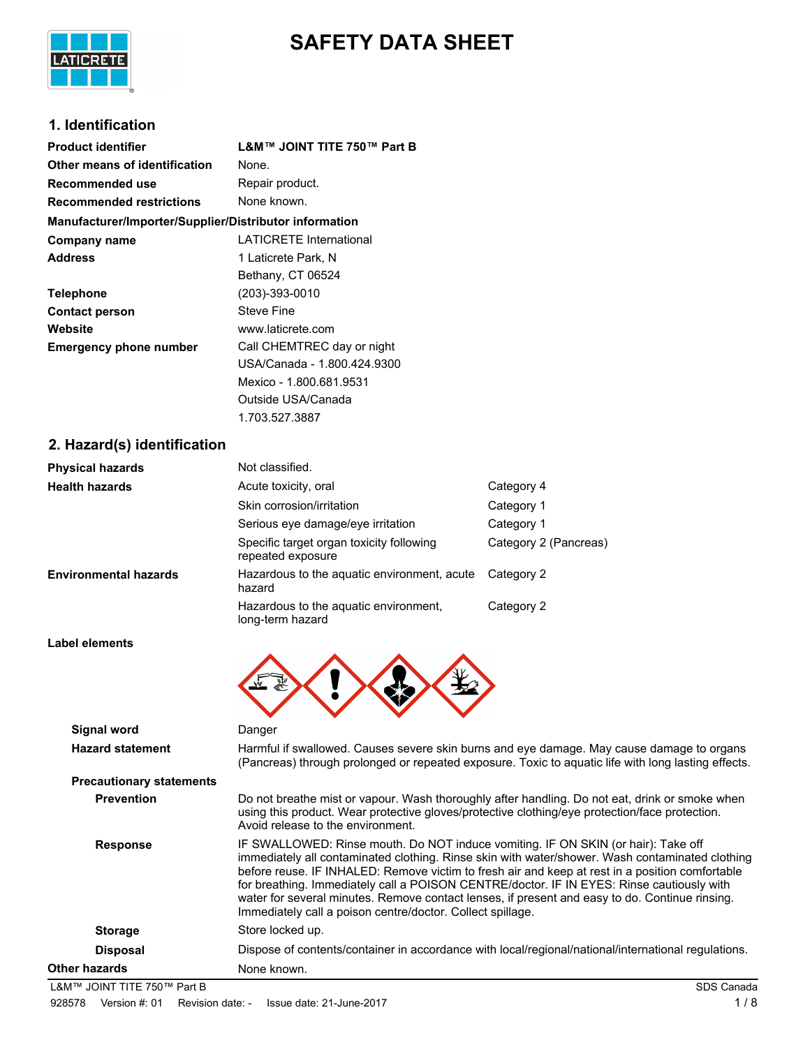

# **SAFETY DATA SHEET**

# **1. Identification**

| <b>Product identifier</b>                              | L&M™ JOINT TITE 750™ Part B    |
|--------------------------------------------------------|--------------------------------|
| Other means of identification                          | None.                          |
| Recommended use                                        | Repair product.                |
| <b>Recommended restrictions</b>                        | None known.                    |
| Manufacturer/Importer/Supplier/Distributor information |                                |
| Company name                                           | <b>LATICRETE International</b> |
| <b>Address</b>                                         | 1 Laticrete Park, N            |
|                                                        | Bethany, CT 06524              |
| <b>Telephone</b>                                       | (203)-393-0010                 |
| <b>Contact person</b>                                  | <b>Steve Fine</b>              |
| Website                                                | www.laticrete.com              |
| <b>Emergency phone number</b>                          | Call CHEMTREC day or night     |
|                                                        | USA/Canada - 1.800.424.9300    |
|                                                        | Mexico - 1.800.681.9531        |
|                                                        | Outside USA/Canada             |
|                                                        | 1.703.527.3887                 |

### **2. Hazard(s) identification**

| <b>Physical hazards</b>      | Not classified.                                               |                       |
|------------------------------|---------------------------------------------------------------|-----------------------|
| <b>Health hazards</b>        | Acute toxicity, oral                                          | Category 4            |
|                              | Skin corrosion/irritation                                     | Category 1            |
|                              | Serious eye damage/eye irritation                             | Category 1            |
|                              | Specific target organ toxicity following<br>repeated exposure | Category 2 (Pancreas) |
| <b>Environmental hazards</b> | Hazardous to the aguatic environment, acute<br>hazard         | Category 2            |
|                              | Hazardous to the aguatic environment.<br>long-term hazard     | Category 2            |

**Label elements**

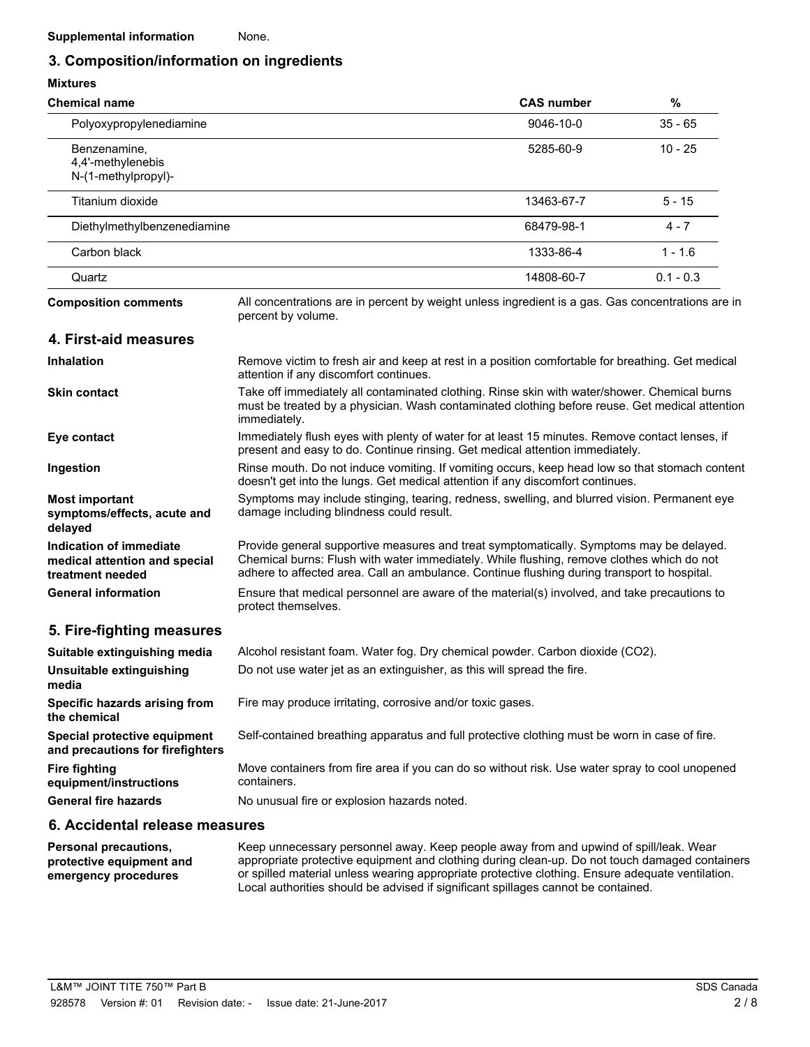# **3. Composition/information on ingredients**

# **Mixtures**

| <b>Chemical name</b>                                                         |                                                                                                                                                                                                                                                                                     | <b>CAS number</b> | $\%$        |
|------------------------------------------------------------------------------|-------------------------------------------------------------------------------------------------------------------------------------------------------------------------------------------------------------------------------------------------------------------------------------|-------------------|-------------|
| Polyoxypropylenediamine                                                      |                                                                                                                                                                                                                                                                                     | 9046-10-0         | $35 - 65$   |
| Benzenamine,<br>4,4'-methylenebis<br>N-(1-methylpropyl)-                     |                                                                                                                                                                                                                                                                                     | 5285-60-9         | $10 - 25$   |
| Titanium dioxide                                                             |                                                                                                                                                                                                                                                                                     | 13463-67-7        | $5 - 15$    |
| Diethylmethylbenzenediamine                                                  |                                                                                                                                                                                                                                                                                     | 68479-98-1        | $4 - 7$     |
| Carbon black                                                                 |                                                                                                                                                                                                                                                                                     | 1333-86-4         | $1 - 1.6$   |
| Quartz                                                                       |                                                                                                                                                                                                                                                                                     | 14808-60-7        | $0.1 - 0.3$ |
| <b>Composition comments</b>                                                  | All concentrations are in percent by weight unless ingredient is a gas. Gas concentrations are in<br>percent by volume.                                                                                                                                                             |                   |             |
| 4. First-aid measures                                                        |                                                                                                                                                                                                                                                                                     |                   |             |
| <b>Inhalation</b>                                                            | Remove victim to fresh air and keep at rest in a position comfortable for breathing. Get medical<br>attention if any discomfort continues.                                                                                                                                          |                   |             |
| <b>Skin contact</b>                                                          | Take off immediately all contaminated clothing. Rinse skin with water/shower. Chemical burns<br>must be treated by a physician. Wash contaminated clothing before reuse. Get medical attention<br>immediately.                                                                      |                   |             |
| Eye contact                                                                  | Immediately flush eyes with plenty of water for at least 15 minutes. Remove contact lenses, if<br>present and easy to do. Continue rinsing. Get medical attention immediately.                                                                                                      |                   |             |
| Ingestion                                                                    | Rinse mouth. Do not induce vomiting. If vomiting occurs, keep head low so that stomach content<br>doesn't get into the lungs. Get medical attention if any discomfort continues.                                                                                                    |                   |             |
| <b>Most important</b><br>symptoms/effects, acute and<br>delayed              | Symptoms may include stinging, tearing, redness, swelling, and blurred vision. Permanent eye<br>damage including blindness could result.                                                                                                                                            |                   |             |
| Indication of immediate<br>medical attention and special<br>treatment needed | Provide general supportive measures and treat symptomatically. Symptoms may be delayed.<br>Chemical burns: Flush with water immediately. While flushing, remove clothes which do not<br>adhere to affected area. Call an ambulance. Continue flushing during transport to hospital. |                   |             |
| <b>General information</b>                                                   | Ensure that medical personnel are aware of the material(s) involved, and take precautions to<br>protect themselves.                                                                                                                                                                 |                   |             |

# **5. Fire-fighting measures**

| Suitable extinguishing media                                     | Alcohol resistant foam. Water fog. Dry chemical powder. Carbon dioxide (CO2).                                 |
|------------------------------------------------------------------|---------------------------------------------------------------------------------------------------------------|
| Unsuitable extinguishing<br>media                                | Do not use water jet as an extinguisher, as this will spread the fire.                                        |
| Specific hazards arising from<br>the chemical                    | Fire may produce irritating, corrosive and/or toxic gases.                                                    |
| Special protective equipment<br>and precautions for firefighters | Self-contained breathing apparatus and full protective clothing must be worn in case of fire.                 |
| <b>Fire fighting</b><br>equipment/instructions                   | Move containers from fire area if you can do so without risk. Use water spray to cool unopened<br>containers. |
| <b>General fire hazards</b>                                      | No unusual fire or explosion hazards noted.                                                                   |

# **6. Accidental release measures**

Keep unnecessary personnel away. Keep people away from and upwind of spill/leak. Wear appropriate protective equipment and clothing during clean-up. Do not touch damaged containers or spilled material unless wearing appropriate protective clothing. Ensure adequate ventilation. Local authorities should be advised if significant spillages cannot be contained. **Personal precautions, protective equipment and emergency procedures**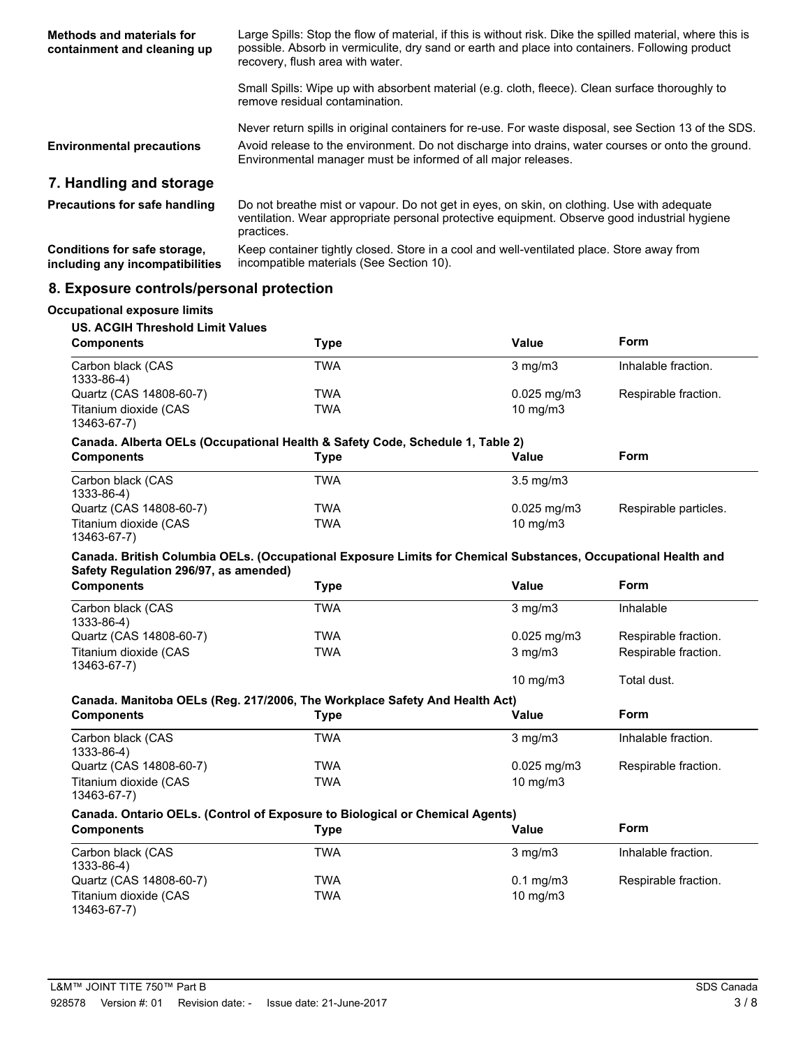| Methods and materials for<br>containment and cleaning up        | Large Spills: Stop the flow of material, if this is without risk. Dike the spilled material, where this is<br>possible. Absorb in vermiculite, dry sand or earth and place into containers. Following product<br>recovery, flush area with water. |
|-----------------------------------------------------------------|---------------------------------------------------------------------------------------------------------------------------------------------------------------------------------------------------------------------------------------------------|
|                                                                 | Small Spills: Wipe up with absorbent material (e.g. cloth, fleece). Clean surface thoroughly to<br>remove residual contamination.                                                                                                                 |
|                                                                 | Never return spills in original containers for re-use. For waste disposal, see Section 13 of the SDS.                                                                                                                                             |
| <b>Environmental precautions</b>                                | Avoid release to the environment. Do not discharge into drains, water courses or onto the ground.<br>Environmental manager must be informed of all major releases.                                                                                |
| 7. Handling and storage                                         |                                                                                                                                                                                                                                                   |
| <b>Precautions for safe handling</b>                            | Do not breathe mist or vapour. Do not get in eyes, on skin, on clothing. Use with adequate<br>ventilation. Wear appropriate personal protective equipment. Observe good industrial hygiene<br>practices.                                          |
| Conditions for safe storage,<br>including any incompatibilities | Keep container tightly closed. Store in a cool and well-ventilated place. Store away from<br>incompatible materials (See Section 10).                                                                                                             |

# **8. Exposure controls/personal protection**

#### **Occupational exposure limits**

| US. ACGIH Threshold Limit Values     |      |                         |                      |
|--------------------------------------|------|-------------------------|----------------------|
| <b>Components</b>                    | Type | Value                   | Form                 |
| Carbon black (CAS<br>1333-86-4)      | TWA  | $3 \text{ mg/m}$        | Inhalable fraction.  |
| Quartz (CAS 14808-60-7)              | TWA  | $0.025 \,\mathrm{mq/m}$ | Respirable fraction. |
| Titanium dioxide (CAS<br>13463-67-7) | TWA  | $10 \text{ mg/m}$       |                      |

#### **Canada. Alberta OELs (Occupational Health & Safety Code, Schedule 1, Table 2)**

| <b>Components</b>                    | Type | Value                  | Form                  |
|--------------------------------------|------|------------------------|-----------------------|
| Carbon black (CAS<br>1333-86-4)      | TWA  | $3.5 \text{ mg/m}$     |                       |
| Quartz (CAS 14808-60-7)              | TWA  | $0.025 \text{ mg/m}$ 3 | Respirable particles. |
| Titanium dioxide (CAS<br>13463-67-7) | TWA  | $10 \text{ mg/m}$      |                       |

#### **Canada. British Columbia OELs. (Occupational Exposure Limits for Chemical Substances, Occupational Health and Safety Regulation 296/97, as amended)**

| <b>Components</b>                    | Type | Value                   | Form                 |
|--------------------------------------|------|-------------------------|----------------------|
| Carbon black (CAS<br>1333-86-4)      | TWA  | $3 \text{ mg/m}$        | Inhalable            |
| Quartz (CAS 14808-60-7)              | TWA  | $0.025 \,\mathrm{mg/m}$ | Respirable fraction. |
| Titanium dioxide (CAS<br>13463-67-7) | TWA  | $3 \text{ mg/m}$        | Respirable fraction. |
|                                      |      | $10 \text{ ma/m}$ 3     | Total dust.          |

# **Canada. Manitoba OELs (Reg. 217/2006, The Workplace Safety And Health Act)**

| <b>Components</b>                    | Type | Value             | Form                 |
|--------------------------------------|------|-------------------|----------------------|
| Carbon black (CAS<br>1333-86-4)      | TWA  | $3 \text{ mg/m}$  | Inhalable fraction.  |
| Quartz (CAS 14808-60-7)              | TWA  | $0.025$ mg/m3     | Respirable fraction. |
| Titanium dioxide (CAS<br>13463-67-7) | TWA  | $10 \text{ mg/m}$ |                      |

#### **Canada. Ontario OELs. (Control of Exposure to Biological or Chemical Agents)**

| <b>Components</b>                    | Tvpe | Value                | Form                 |
|--------------------------------------|------|----------------------|----------------------|
| Carbon black (CAS<br>1333-86-4)      | TWA  | $3 \text{ mg/m}$     | Inhalable fraction.  |
| Quartz (CAS 14808-60-7)              | TWA  | $0.1 \text{ mg/m}$ 3 | Respirable fraction. |
| Titanium dioxide (CAS<br>13463-67-7) | TWA  | $10 \text{ mg/m}$    |                      |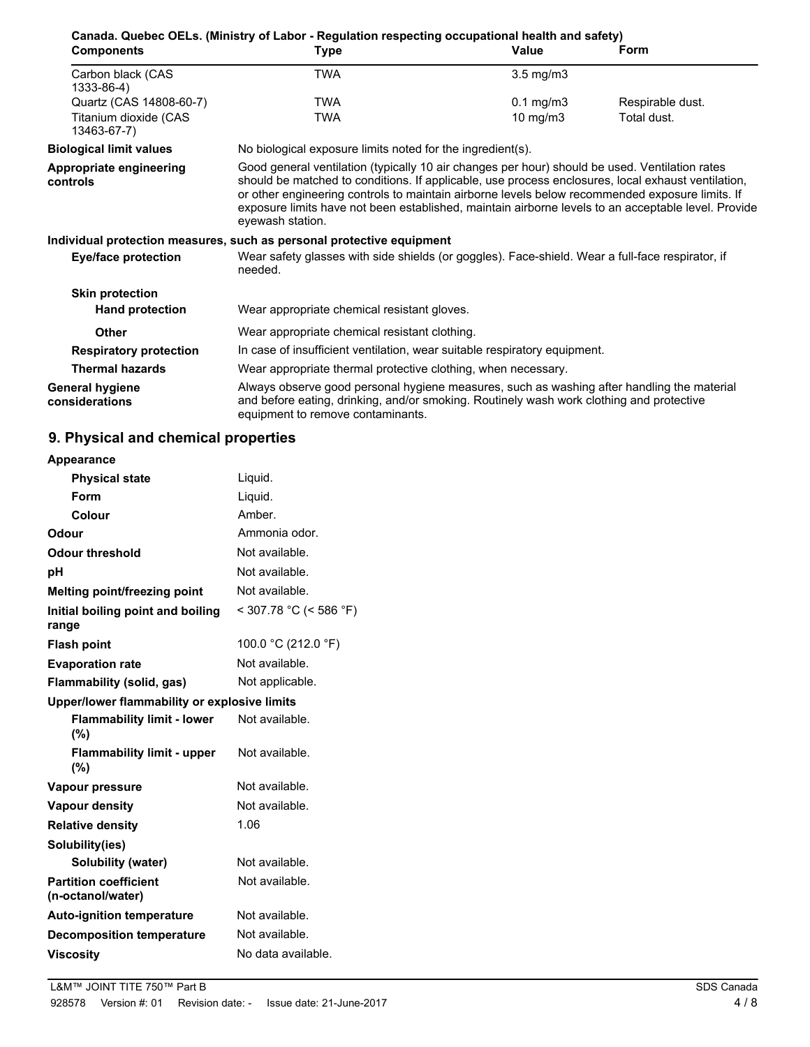| <b>Components</b>                          | <b>Type</b>                                                                                                                                                                                                                                                                                                                                                                                                                        | <b>Value</b>       | Form             |
|--------------------------------------------|------------------------------------------------------------------------------------------------------------------------------------------------------------------------------------------------------------------------------------------------------------------------------------------------------------------------------------------------------------------------------------------------------------------------------------|--------------------|------------------|
| Carbon black (CAS<br>1333-86-4)            | <b>TWA</b>                                                                                                                                                                                                                                                                                                                                                                                                                         | $3.5 \text{ mg/m}$ |                  |
| Quartz (CAS 14808-60-7)                    | <b>TWA</b>                                                                                                                                                                                                                                                                                                                                                                                                                         | $0.1 \text{ mg/m}$ | Respirable dust. |
| Titanium dioxide (CAS<br>13463-67-7)       | <b>TWA</b>                                                                                                                                                                                                                                                                                                                                                                                                                         | 10 mg/m $3$        | Total dust.      |
| <b>Biological limit values</b>             | No biological exposure limits noted for the ingredient(s).                                                                                                                                                                                                                                                                                                                                                                         |                    |                  |
| <b>Appropriate engineering</b><br>controls | Good general ventilation (typically 10 air changes per hour) should be used. Ventilation rates<br>should be matched to conditions. If applicable, use process enclosures, local exhaust ventilation,<br>or other engineering controls to maintain airborne levels below recommended exposure limits. If<br>exposure limits have not been established, maintain airborne levels to an acceptable level. Provide<br>eyewash station. |                    |                  |
|                                            | Individual protection measures, such as personal protective equipment                                                                                                                                                                                                                                                                                                                                                              |                    |                  |
| <b>Eye/face protection</b>                 | Wear safety glasses with side shields (or goggles). Face-shield. Wear a full-face respirator, if<br>needed.                                                                                                                                                                                                                                                                                                                        |                    |                  |
| <b>Skin protection</b>                     |                                                                                                                                                                                                                                                                                                                                                                                                                                    |                    |                  |
| <b>Hand protection</b>                     | Wear appropriate chemical resistant gloves.                                                                                                                                                                                                                                                                                                                                                                                        |                    |                  |
| Other                                      | Wear appropriate chemical resistant clothing.                                                                                                                                                                                                                                                                                                                                                                                      |                    |                  |
| <b>Respiratory protection</b>              | In case of insufficient ventilation, wear suitable respiratory equipment.                                                                                                                                                                                                                                                                                                                                                          |                    |                  |
| <b>Thermal hazards</b>                     | Wear appropriate thermal protective clothing, when necessary.                                                                                                                                                                                                                                                                                                                                                                      |                    |                  |
| <b>General hygiene</b><br>considerations   | Always observe good personal hygiene measures, such as washing after handling the material<br>and before eating, drinking, and/or smoking. Routinely wash work clothing and protective<br>equipment to remove contaminants.                                                                                                                                                                                                        |                    |                  |

# **9. Physical and chemical properties**

| Appearance                                        |                          |
|---------------------------------------------------|--------------------------|
| <b>Physical state</b>                             | Liquid.                  |
| Form                                              | Liquid.                  |
| Colour                                            | Amber.                   |
| Odour                                             | Ammonia odor.            |
| <b>Odour threshold</b>                            | Not available.           |
| рH                                                | Not available.           |
| Melting point/freezing point                      | Not available.           |
| Initial boiling point and boiling<br>range        | $<$ 307.78 °C (< 586 °F) |
| <b>Flash point</b>                                | 100.0 °C (212.0 °F)      |
| <b>Evaporation rate</b>                           | Not available.           |
| Flammability (solid, gas)                         | Not applicable.          |
| Upper/lower flammability or explosive limits      |                          |
| <b>Flammability limit - lower</b><br>(%)          | Not available.           |
| <b>Flammability limit - upper</b><br>(%)          | Not available.           |
| Vapour pressure                                   | Not available.           |
| <b>Vapour density</b>                             | Not available.           |
| <b>Relative density</b>                           | 1.06                     |
| Solubility(ies)                                   |                          |
| Solubility (water)                                | Not available.           |
| <b>Partition coefficient</b><br>(n-octanol/water) | Not available.           |
| <b>Auto-ignition temperature</b>                  | Not available.           |
|                                                   |                          |
| <b>Decomposition temperature</b>                  | Not available.           |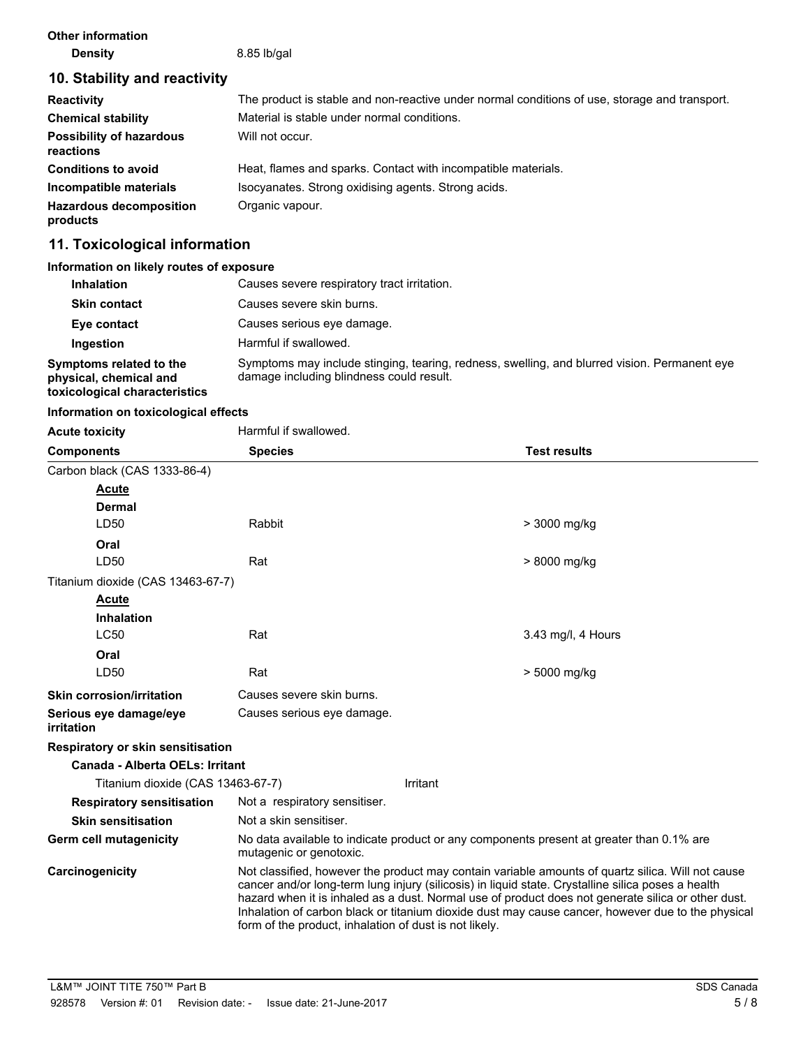| <b>Other information</b> |  |
|--------------------------|--|
| <b>Density</b>           |  |

**Density** 8.85 lb/gal

# **10. Stability and reactivity**

| <b>Reactivity</b>                            | The product is stable and non-reactive under normal conditions of use, storage and transport. |
|----------------------------------------------|-----------------------------------------------------------------------------------------------|
| <b>Chemical stability</b>                    | Material is stable under normal conditions.                                                   |
| <b>Possibility of hazardous</b><br>reactions | Will not occur.                                                                               |
| <b>Conditions to avoid</b>                   | Heat, flames and sparks. Contact with incompatible materials.                                 |
| Incompatible materials                       | Isocyanates. Strong oxidising agents. Strong acids.                                           |
| <b>Hazardous decomposition</b><br>products   | Organic vapour.                                                                               |

# **11. Toxicological information**

### **Information on likely routes of exposure**

| <b>Inhalation</b>                                                                  | Causes severe respiratory tract irritation.                                                                                              |
|------------------------------------------------------------------------------------|------------------------------------------------------------------------------------------------------------------------------------------|
| <b>Skin contact</b>                                                                | Causes severe skin burns.                                                                                                                |
| Eye contact                                                                        | Causes serious eye damage.                                                                                                               |
| Ingestion                                                                          | Harmful if swallowed.                                                                                                                    |
| Symptoms related to the<br>physical, chemical and<br>toxicological characteristics | Symptoms may include stinging, tearing, redness, swelling, and blurred vision. Permanent eye<br>damage including blindness could result. |

# **Information on toxicological effects**

| <b>Acute toxicity</b>                    | Harmful if swallowed.                                                                                                                                                                                                                                                                                                                                                                                                                                                        |          |                    |
|------------------------------------------|------------------------------------------------------------------------------------------------------------------------------------------------------------------------------------------------------------------------------------------------------------------------------------------------------------------------------------------------------------------------------------------------------------------------------------------------------------------------------|----------|--------------------|
| <b>Components</b>                        | <b>Species</b><br><b>Test results</b>                                                                                                                                                                                                                                                                                                                                                                                                                                        |          |                    |
| Carbon black (CAS 1333-86-4)             |                                                                                                                                                                                                                                                                                                                                                                                                                                                                              |          |                    |
| <b>Acute</b>                             |                                                                                                                                                                                                                                                                                                                                                                                                                                                                              |          |                    |
| <b>Dermal</b>                            |                                                                                                                                                                                                                                                                                                                                                                                                                                                                              |          |                    |
| LD50                                     | Rabbit                                                                                                                                                                                                                                                                                                                                                                                                                                                                       |          | > 3000 mg/kg       |
| Oral                                     |                                                                                                                                                                                                                                                                                                                                                                                                                                                                              |          |                    |
| LD50                                     | Rat                                                                                                                                                                                                                                                                                                                                                                                                                                                                          |          | > 8000 mg/kg       |
| Titanium dioxide (CAS 13463-67-7)        |                                                                                                                                                                                                                                                                                                                                                                                                                                                                              |          |                    |
| <b>Acute</b>                             |                                                                                                                                                                                                                                                                                                                                                                                                                                                                              |          |                    |
| <b>Inhalation</b>                        |                                                                                                                                                                                                                                                                                                                                                                                                                                                                              |          |                    |
| <b>LC50</b>                              | Rat                                                                                                                                                                                                                                                                                                                                                                                                                                                                          |          | 3.43 mg/l, 4 Hours |
| Oral                                     |                                                                                                                                                                                                                                                                                                                                                                                                                                                                              |          |                    |
| LD50                                     | Rat                                                                                                                                                                                                                                                                                                                                                                                                                                                                          |          | > 5000 mg/kg       |
| <b>Skin corrosion/irritation</b>         | Causes severe skin burns.                                                                                                                                                                                                                                                                                                                                                                                                                                                    |          |                    |
| Serious eye damage/eye<br>irritation     | Causes serious eye damage.                                                                                                                                                                                                                                                                                                                                                                                                                                                   |          |                    |
| <b>Respiratory or skin sensitisation</b> |                                                                                                                                                                                                                                                                                                                                                                                                                                                                              |          |                    |
| Canada - Alberta OELs: Irritant          |                                                                                                                                                                                                                                                                                                                                                                                                                                                                              |          |                    |
| Titanium dioxide (CAS 13463-67-7)        |                                                                                                                                                                                                                                                                                                                                                                                                                                                                              | Irritant |                    |
| <b>Respiratory sensitisation</b>         | Not a respiratory sensitiser.                                                                                                                                                                                                                                                                                                                                                                                                                                                |          |                    |
| <b>Skin sensitisation</b>                | Not a skin sensitiser.                                                                                                                                                                                                                                                                                                                                                                                                                                                       |          |                    |
| <b>Germ cell mutagenicity</b>            | No data available to indicate product or any components present at greater than 0.1% are<br>mutagenic or genotoxic.                                                                                                                                                                                                                                                                                                                                                          |          |                    |
| Carcinogenicity                          | Not classified, however the product may contain variable amounts of quartz silica. Will not cause<br>cancer and/or long-term lung injury (silicosis) in liquid state. Crystalline silica poses a health<br>hazard when it is inhaled as a dust. Normal use of product does not generate silica or other dust.<br>Inhalation of carbon black or titanium dioxide dust may cause cancer, however due to the physical<br>form of the product, inhalation of dust is not likely. |          |                    |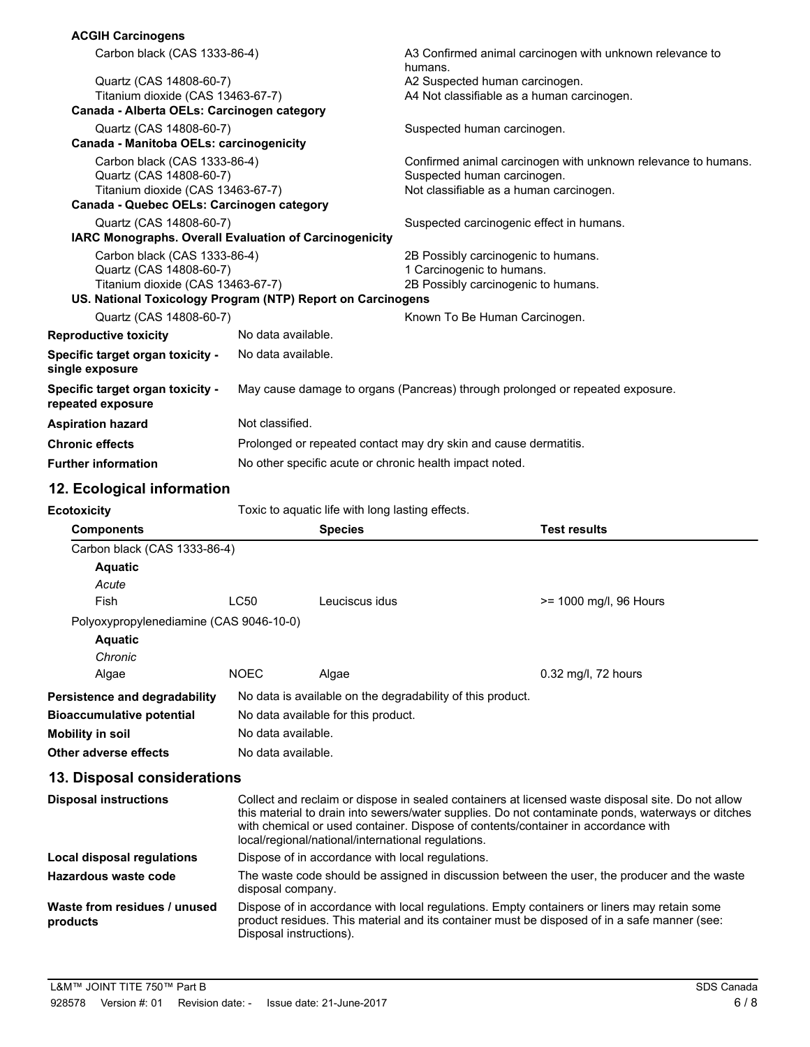| <b>ACGIH Carcinogens</b>                                           |                                                           |                                                  |                                                                                                                                         |                                                                                                                                                                                                        |
|--------------------------------------------------------------------|-----------------------------------------------------------|--------------------------------------------------|-----------------------------------------------------------------------------------------------------------------------------------------|--------------------------------------------------------------------------------------------------------------------------------------------------------------------------------------------------------|
|                                                                    | Carbon black (CAS 1333-86-4)                              |                                                  | A3 Confirmed animal carcinogen with unknown relevance to<br>humans.                                                                     |                                                                                                                                                                                                        |
| Quartz (CAS 14808-60-7)                                            |                                                           | A2 Suspected human carcinogen.                   |                                                                                                                                         |                                                                                                                                                                                                        |
| Titanium dioxide (CAS 13463-67-7)                                  |                                                           |                                                  | A4 Not classifiable as a human carcinogen.                                                                                              |                                                                                                                                                                                                        |
| Canada - Alberta OELs: Carcinogen category                         |                                                           |                                                  |                                                                                                                                         |                                                                                                                                                                                                        |
| Quartz (CAS 14808-60-7)<br>Canada - Manitoba OELs: carcinogenicity |                                                           |                                                  | Suspected human carcinogen.                                                                                                             |                                                                                                                                                                                                        |
| Carbon black (CAS 1333-86-4)                                       |                                                           |                                                  |                                                                                                                                         | Confirmed animal carcinogen with unknown relevance to humans.                                                                                                                                          |
| Quartz (CAS 14808-60-7)                                            |                                                           |                                                  | Suspected human carcinogen.                                                                                                             |                                                                                                                                                                                                        |
| Titanium dioxide (CAS 13463-67-7)                                  |                                                           |                                                  | Not classifiable as a human carcinogen.                                                                                                 |                                                                                                                                                                                                        |
| Canada - Quebec OELs: Carcinogen category                          |                                                           |                                                  |                                                                                                                                         |                                                                                                                                                                                                        |
| Quartz (CAS 14808-60-7)                                            |                                                           |                                                  | Suspected carcinogenic effect in humans.                                                                                                |                                                                                                                                                                                                        |
| IARC Monographs. Overall Evaluation of Carcinogenicity             |                                                           |                                                  |                                                                                                                                         |                                                                                                                                                                                                        |
| Carbon black (CAS 1333-86-4)                                       |                                                           |                                                  | 2B Possibly carcinogenic to humans.                                                                                                     |                                                                                                                                                                                                        |
| Quartz (CAS 14808-60-7)<br>Titanium dioxide (CAS 13463-67-7)       |                                                           |                                                  | 1 Carcinogenic to humans.<br>2B Possibly carcinogenic to humans.                                                                        |                                                                                                                                                                                                        |
| US. National Toxicology Program (NTP) Report on Carcinogens        |                                                           |                                                  |                                                                                                                                         |                                                                                                                                                                                                        |
| Quartz (CAS 14808-60-7)                                            |                                                           |                                                  | Known To Be Human Carcinogen.                                                                                                           |                                                                                                                                                                                                        |
| <b>Reproductive toxicity</b>                                       | No data available.                                        |                                                  |                                                                                                                                         |                                                                                                                                                                                                        |
| Specific target organ toxicity -                                   | No data available.                                        |                                                  |                                                                                                                                         |                                                                                                                                                                                                        |
| single exposure                                                    |                                                           |                                                  |                                                                                                                                         |                                                                                                                                                                                                        |
| Specific target organ toxicity -<br>repeated exposure              |                                                           |                                                  |                                                                                                                                         | May cause damage to organs (Pancreas) through prolonged or repeated exposure.                                                                                                                          |
| <b>Aspiration hazard</b>                                           | Not classified.                                           |                                                  |                                                                                                                                         |                                                                                                                                                                                                        |
| <b>Chronic effects</b>                                             |                                                           |                                                  | Prolonged or repeated contact may dry skin and cause dermatitis.                                                                        |                                                                                                                                                                                                        |
| <b>Further information</b>                                         | No other specific acute or chronic health impact noted.   |                                                  |                                                                                                                                         |                                                                                                                                                                                                        |
| 12. Ecological information                                         |                                                           |                                                  |                                                                                                                                         |                                                                                                                                                                                                        |
| <b>Ecotoxicity</b>                                                 |                                                           | Toxic to aquatic life with long lasting effects. |                                                                                                                                         |                                                                                                                                                                                                        |
| <b>Components</b>                                                  |                                                           | <b>Species</b>                                   |                                                                                                                                         | <b>Test results</b>                                                                                                                                                                                    |
| Carbon black (CAS 1333-86-4)                                       |                                                           |                                                  |                                                                                                                                         |                                                                                                                                                                                                        |
| <b>Aquatic</b>                                                     |                                                           |                                                  |                                                                                                                                         |                                                                                                                                                                                                        |
| Acute                                                              |                                                           |                                                  |                                                                                                                                         |                                                                                                                                                                                                        |
| Fish                                                               | LC50                                                      | Leuciscus idus                                   |                                                                                                                                         | >= 1000 mg/l, 96 Hours                                                                                                                                                                                 |
| Polyoxypropylenediamine (CAS 9046-10-0)                            |                                                           |                                                  |                                                                                                                                         |                                                                                                                                                                                                        |
| <b>Aquatic</b>                                                     |                                                           |                                                  |                                                                                                                                         |                                                                                                                                                                                                        |
| Chronic                                                            |                                                           |                                                  |                                                                                                                                         |                                                                                                                                                                                                        |
| Algae                                                              | <b>NOEC</b>                                               | Algae                                            |                                                                                                                                         | 0.32 mg/l, 72 hours                                                                                                                                                                                    |
| Persistence and degradability                                      |                                                           |                                                  | No data is available on the degradability of this product.                                                                              |                                                                                                                                                                                                        |
| <b>Bioaccumulative potential</b>                                   |                                                           |                                                  |                                                                                                                                         |                                                                                                                                                                                                        |
| <b>Mobility in soil</b>                                            | No data available for this product.<br>No data available. |                                                  |                                                                                                                                         |                                                                                                                                                                                                        |
| Other adverse effects                                              | No data available.                                        |                                                  |                                                                                                                                         |                                                                                                                                                                                                        |
|                                                                    |                                                           |                                                  |                                                                                                                                         |                                                                                                                                                                                                        |
| 13. Disposal considerations                                        |                                                           |                                                  |                                                                                                                                         |                                                                                                                                                                                                        |
| <b>Disposal instructions</b>                                       |                                                           |                                                  | with chemical or used container. Dispose of contents/container in accordance with<br>local/regional/national/international regulations. | Collect and reclaim or dispose in sealed containers at licensed waste disposal site. Do not allow<br>this material to drain into sewers/water supplies. Do not contaminate ponds, waterways or ditches |
| <b>Local disposal regulations</b>                                  |                                                           |                                                  | Dispose of in accordance with local regulations.                                                                                        |                                                                                                                                                                                                        |
| <b>Hazardous waste code</b>                                        |                                                           |                                                  |                                                                                                                                         |                                                                                                                                                                                                        |
|                                                                    | disposal company.                                         |                                                  |                                                                                                                                         | The waste code should be assigned in discussion between the user, the producer and the waste                                                                                                           |

product residues. This material and its container must be disposed of in a safe manner (see:

**products**

Disposal instructions).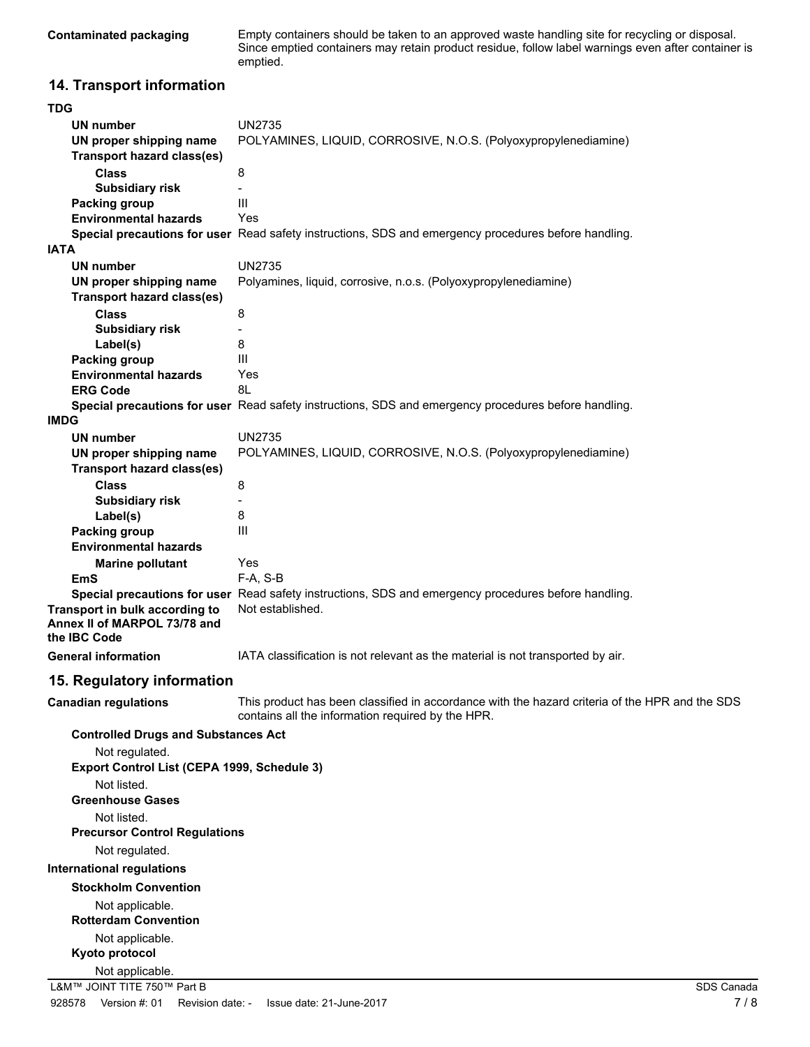Empty containers should be taken to an approved waste handling site for recycling or disposal. Since emptied containers may retain product residue, follow label warnings even after container is emptied.

# **14. Transport information**

| <b>TDG</b>                                                   |                                                                                                                                                     |
|--------------------------------------------------------------|-----------------------------------------------------------------------------------------------------------------------------------------------------|
| UN number                                                    | <b>UN2735</b>                                                                                                                                       |
| UN proper shipping name<br><b>Transport hazard class(es)</b> | POLYAMINES, LIQUID, CORROSIVE, N.O.S. (Polyoxypropylenediamine)                                                                                     |
|                                                              |                                                                                                                                                     |
| <b>Class</b>                                                 | 8                                                                                                                                                   |
| <b>Subsidiary risk</b>                                       | III                                                                                                                                                 |
| Packing group                                                | Yes                                                                                                                                                 |
| <b>Environmental hazards</b>                                 |                                                                                                                                                     |
| <b>IATA</b>                                                  | Special precautions for user Read safety instructions, SDS and emergency procedures before handling.                                                |
|                                                              |                                                                                                                                                     |
| UN number                                                    | <b>UN2735</b>                                                                                                                                       |
| UN proper shipping name                                      | Polyamines, liquid, corrosive, n.o.s. (Polyoxypropylenediamine)                                                                                     |
| <b>Transport hazard class(es)</b>                            |                                                                                                                                                     |
| <b>Class</b>                                                 | 8                                                                                                                                                   |
| <b>Subsidiary risk</b>                                       |                                                                                                                                                     |
| Label(s)                                                     | 8                                                                                                                                                   |
| Packing group                                                | III                                                                                                                                                 |
| <b>Environmental hazards</b>                                 | Yes                                                                                                                                                 |
| <b>ERG Code</b>                                              | 8L                                                                                                                                                  |
|                                                              | Special precautions for user Read safety instructions, SDS and emergency procedures before handling.                                                |
| <b>IMDG</b>                                                  |                                                                                                                                                     |
| <b>UN number</b>                                             | <b>UN2735</b>                                                                                                                                       |
| UN proper shipping name                                      | POLYAMINES, LIQUID, CORROSIVE, N.O.S. (Polyoxypropylenediamine)                                                                                     |
| <b>Transport hazard class(es)</b>                            |                                                                                                                                                     |
| <b>Class</b>                                                 | 8                                                                                                                                                   |
| <b>Subsidiary risk</b>                                       |                                                                                                                                                     |
| Label(s)                                                     | 8                                                                                                                                                   |
| Packing group                                                | III                                                                                                                                                 |
| <b>Environmental hazards</b>                                 |                                                                                                                                                     |
| <b>Marine pollutant</b>                                      | Yes                                                                                                                                                 |
| EmS                                                          | $F-A, S-B$                                                                                                                                          |
|                                                              | Special precautions for user Read safety instructions, SDS and emergency procedures before handling.                                                |
| Transport in bulk according to                               | Not established.                                                                                                                                    |
| Annex II of MARPOL 73/78 and                                 |                                                                                                                                                     |
| the IBC Code                                                 |                                                                                                                                                     |
| <b>General information</b>                                   | IATA classification is not relevant as the material is not transported by air.                                                                      |
| 15. Regulatory information                                   |                                                                                                                                                     |
| <b>Canadian regulations</b>                                  | This product has been classified in accordance with the hazard criteria of the HPR and the SDS<br>contains all the information required by the HPR. |
| <b>Controlled Drugs and Substances Act</b>                   |                                                                                                                                                     |
| Not regulated.                                               |                                                                                                                                                     |
| Export Control List (CEPA 1999, Schedule 3)                  |                                                                                                                                                     |
| Not listed.                                                  |                                                                                                                                                     |
| <b>Greenhouse Gases</b>                                      |                                                                                                                                                     |
| Not listed.                                                  |                                                                                                                                                     |
| <b>Precursor Control Regulations</b>                         |                                                                                                                                                     |
| Not regulated.                                               |                                                                                                                                                     |
| <b>International regulations</b>                             |                                                                                                                                                     |
| <b>Stockholm Convention</b>                                  |                                                                                                                                                     |
|                                                              |                                                                                                                                                     |
| Not applicable.                                              |                                                                                                                                                     |
| <b>Rotterdam Convention</b>                                  |                                                                                                                                                     |
| Not applicable.                                              |                                                                                                                                                     |
| Kyoto protocol                                               |                                                                                                                                                     |
| Not applicable.                                              |                                                                                                                                                     |
| L&M™ JOINT TITE 750™ Part B                                  | SDS Canada                                                                                                                                          |